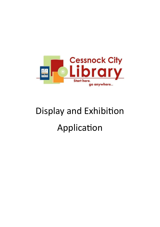

## Display and Exhibition Application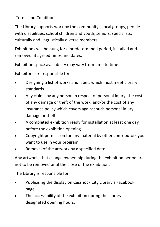Terms and Conditions

The Library supports work by the community – local groups, people with disabilities, school children and youth, seniors, specialists, culturally and linguistically diverse members.

Exhibitions will be hung for a predetermined period, installed and removed at agreed times and dates.

Exhibition space availability may vary from time to time.

Exhibitors are responsible for:

- Designing a list of works and labels which must meet Library standards.
- Any claims by any person in respect of personal injury, the cost of any damage or theft of the work, and/or the cost of any insurance policy which covers against such personal injury, damage or theft.
- A completed exhibition ready for installation at least one day before the exhibition opening.
- Copyright permission for any material by other contributors you want to use in your program.
- Removal of the artwork by a specified date.

Any artworks that change ownership during the exhibition period are not to be removed until the close of the exhibition.

The Library is responsible for

- Publicising the display on Cessnock City Library's Facebook page.
- The accessibility of the exhibition during the Library's designated opening hours.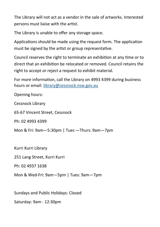The Library will not act as a vendor in the sale of artworks. Interested persons must liaise with the artist.

The Library is unable to offer any storage space.

Applications should be made using the request form. The application must be signed by the artist or group representative.

Council reserves the right to terminate an exhibition at any time or to direct that an exhibition be relocated or removed. Council retains the right to accept or reject a request to exhibit material.

For more information, call the Library on 4993 4399 during business hours or email: [library@cessnock.nsw.gov.au](mailto:library@cessnock.nsw.gov.au)

Opening hours:

Cessnock Library

65-67 Vincent Street, Cessnock

Ph: 02 4993 4399

Mon & Fri: 9am—5:30pm | Tues —Thurs: 9am—7pm

Kurri Kurri Library

251 Lang Street, Kurri Kurri

Ph: 02 4937 1638

Mon & Wed-Fri: 9am—5pm | Tues: 9am—7pm

Sundays and Public Holidays: Closed

Saturday: 9am - 12:30pm